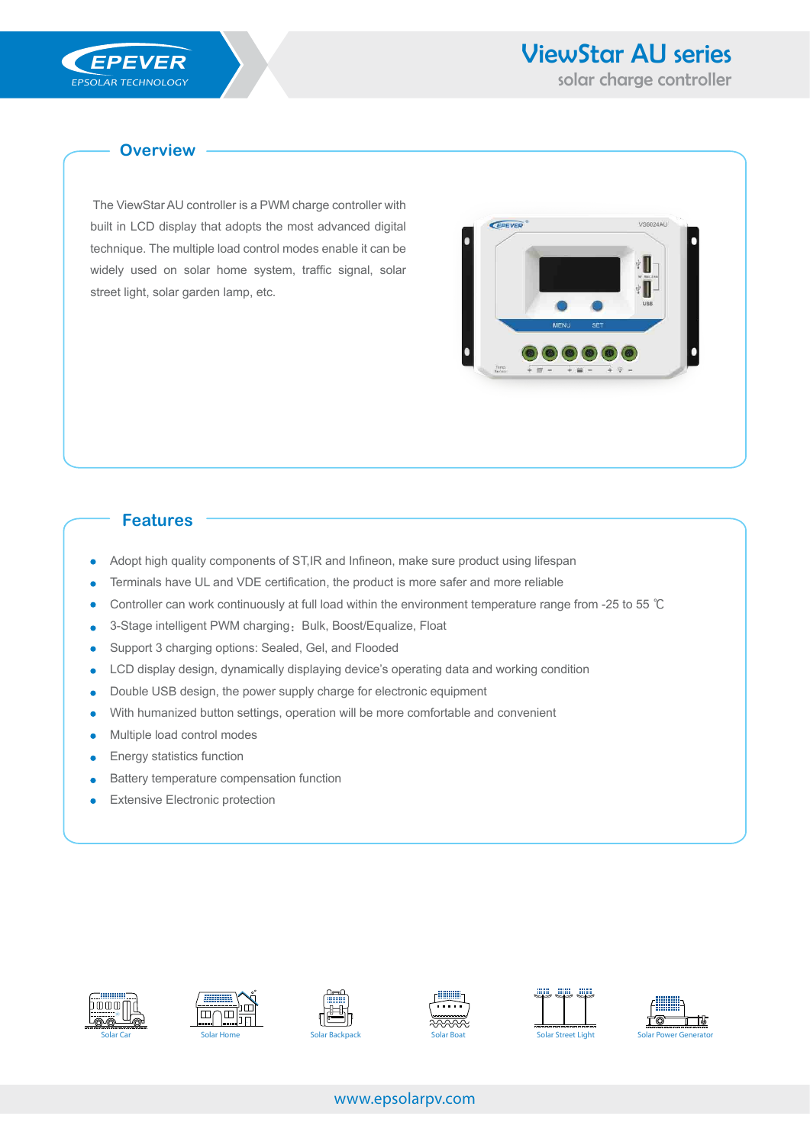VS6024AU

EPEVER

## **Overview**

 The ViewStar AU controller is a PWM charge controller with built in LCD display that adopts the most advanced digital technique. The multiple load control modes enable it can be widely used on solar home system, traffic signal, solar street light, solar garden lamp, etc.

## **Features**

- Adopt high quality components of ST,IR and Infineon, make sure product using lifespan
- Terminals have UL and VDE certification, the product is more safer and more reliable
- Controller can work continuously at full load within the environment temperature range from -25 to 55 ℃
- 3-Stage intelligent PWM charging: Bulk, Boost/Equalize, Float
- Support 3 charging options: Sealed, Gel, and Flooded
- LCD display design, dynamically displaying device's operating data and working condition
- Double USB design, the power supply charge for electronic equipment
- With humanized button settings, operation will be more comfortable and convenient
- Multiple load control modes
- Energy statistics function ×
- Battery temperature compensation function
- Extensive Electronic protection